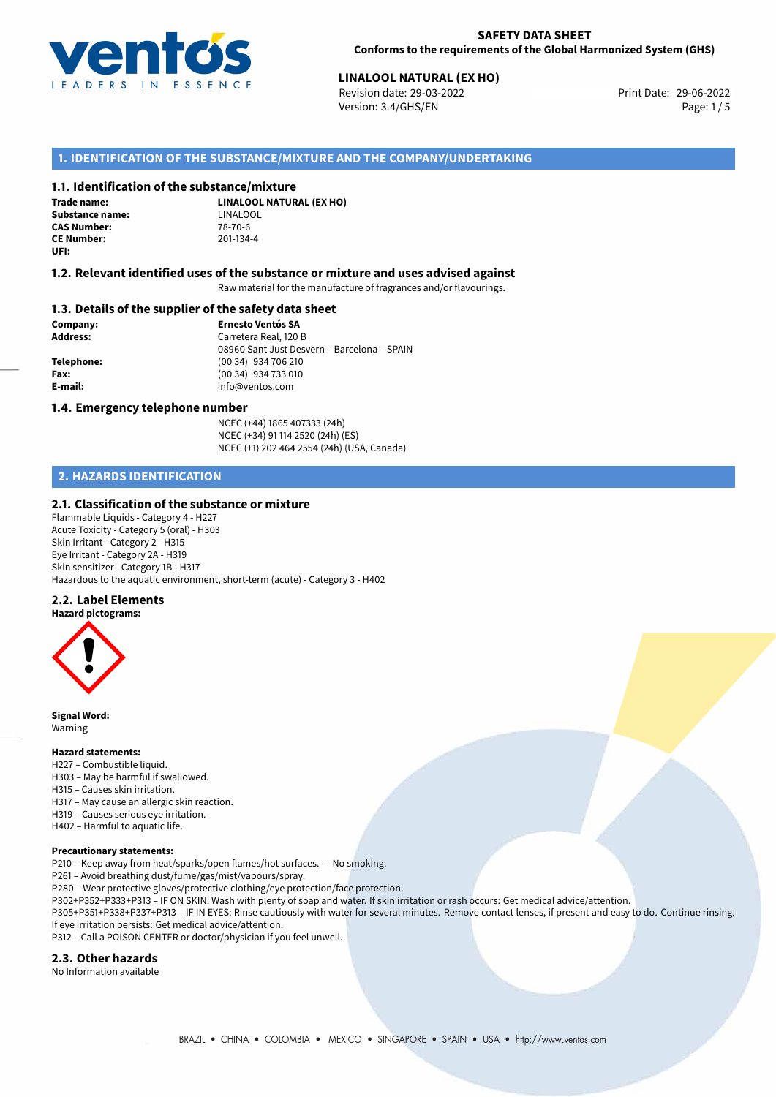

## **LINALOOL NATURAL (EX HO)**<br> **29-06-2022 Revision date: 29-03-2022 Linux Control 2008 Print Date: 29-06-2022**

Revision date: 29-03-2022 Version: 3.4/GHS/EN Page: 1/5

## **1. IDENTIFICATION OF THE SUBSTANCE/MIXTURE AND THE COMPANY/UNDERTAKING**

## **1.1. Identification of the substance/mixture**

**Trade name: Substance name:** LINALOOL<br> **CAS Number:** 78-70-6 **CAS Number: CE Number:** 201-134-4 **UFI:**

**LINALOOL NATURAL (EX HO)**

## **1.2. Relevant identified uses of the substance or mixture and uses advised against**

Raw material for the manufacture of fragrances and/or flavourings.

### **1.3. Details of the supplier of the safety data sheet**

**Company: Ernesto Ventós SA Address:** Carretera Real, 120 B 08960 Sant Just Desvern – Barcelona – SPAIN **Telephone:** (00 34) 934 706 210 **Fax:** (00 34) 934 733 010 **E-mail:** info@ventos.com

#### **1.4. Emergency telephone number**

NCEC (+44) 1865 407333 (24h) NCEC (+34) 91 114 2520 (24h) (ES) NCEC (+1) 202 464 2554 (24h) (USA, Canada)

## **2. HAZARDS IDENTIFICATION**

## **2.1. Classification of the substance or mixture**

Flammable Liquids - Category 4 - H227 Acute Toxicity - Category 5 (oral) - H303 Skin Irritant - Category 2 - H315 Eye Irritant - Category 2A - H319 Skin sensitizer - Category 1B - H317 Hazardous to the aquatic environment, short-term (acute) - Category 3 - H402

#### **2.2. Label Elements**



**Signal Word:** Warning

## **Hazard statements:**

- H227 Combustible liquid.
- H303 May be harmful if swallowed.
- H315 Causes skin irritation.
- H317 May cause an allergic skin reaction.
- H319 Causes serious eye irritation.
- H402 Harmful to aquatic life.

### **Precautionary statements:**

P210 – Keep away from heat/sparks/open flames/hot surfaces. — No smoking.

P261 – Avoid breathing dust/fume/gas/mist/vapours/spray.

- P280 Wear protective gloves/protective clothing/eye protection/face protection.
- P302+P352+P333+P313 IF ON SKIN: Wash with plenty of soap and water. If skin irritation or rash occurs: Get medical advice/attention.

P305+P351+P338+P337+P313 – IF IN EYES: Rinse cautiously with water for several minutes. Remove contact lenses, if present and easy to do. Continue rinsing. If eye irritation persists: Get medical advice/attention.

P312 – Call a POISON CENTER or doctor/physician if you feel unwell.

#### **2.3. Other hazards**

No Information available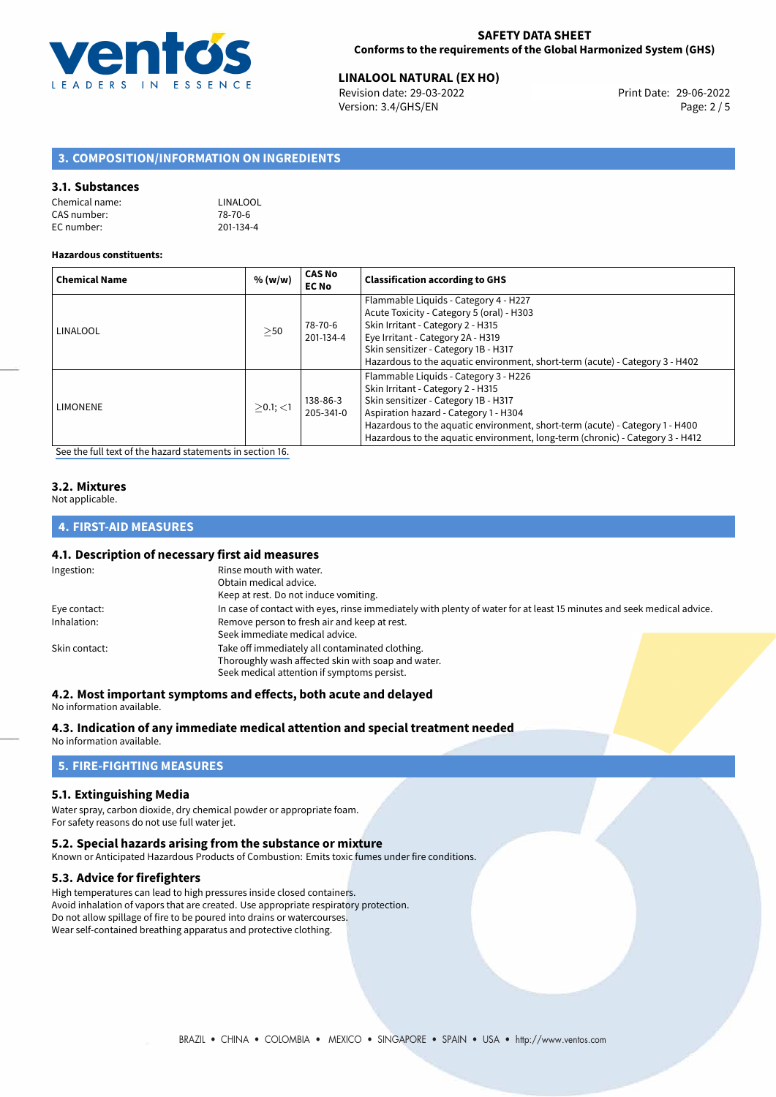

## **LINALOOL NATURAL (EX HO)**<br>29-06-2022 **Revision date: 29-03-2022 Linux Linux Print Date: 29-06-2022**

Revision date: 29-03-2022 Version: 3.4/GHS/EN Page: 2 / 5

## **3. COMPOSITION/INFORMATION ON INGREDIENTS**

### **3.1. Substances**

| Chemical name: | LINALOOL  |
|----------------|-----------|
| CAS number:    | 78-70-6   |
| EC number:     | 201-134-4 |

#### **Hazardous constituents:**

| <b>Chemical Name</b> | % (w/w)     | <b>CAS No</b><br><b>EC No</b> | <b>Classification according to GHS</b>                                                                                                                                                                                                                                                                                       |
|----------------------|-------------|-------------------------------|------------------------------------------------------------------------------------------------------------------------------------------------------------------------------------------------------------------------------------------------------------------------------------------------------------------------------|
| LINALOOL             | >50         | 78-70-6<br>201-134-4          | Flammable Liquids - Category 4 - H227<br>Acute Toxicity - Category 5 (oral) - H303<br>Skin Irritant - Category 2 - H315<br>Eye Irritant - Category 2A - H319<br>Skin sensitizer - Category 1B - H317<br>Hazardous to the aquatic environment, short-term (acute) - Category 3 - H402                                         |
| <b>LIMONENE</b>      | $>0.1$ ; <1 | 138-86-3<br>205-341-0         | Flammable Liquids - Category 3 - H226<br>Skin Irritant - Category 2 - H315<br>Skin sensitizer - Category 1B - H317<br>Aspiration hazard - Category 1 - H304<br>Hazardous to the aquatic environment, short-term (acute) - Category 1 - H400<br>Hazardous to the aquatic environment, long-term (chronic) - Category 3 - H412 |

[See the full text of the hazard statements in section 16.](#page-4-0)

## **3.2. Mixtures**

Not applicable.

## **4. FIRST-AID MEASURES**

#### **4.1. Description of necessary first aid measures**

| Ingestion:    | Rinse mouth with water.                                                                                               |  |  |
|---------------|-----------------------------------------------------------------------------------------------------------------------|--|--|
|               | Obtain medical advice.                                                                                                |  |  |
|               | Keep at rest. Do not induce vomiting.                                                                                 |  |  |
| Eye contact:  | In case of contact with eyes, rinse immediately with plenty of water for at least 15 minutes and seek medical advice. |  |  |
| Inhalation:   | Remove person to fresh air and keep at rest.                                                                          |  |  |
|               | Seek immediate medical advice.                                                                                        |  |  |
| Skin contact: | Take off immediately all contaminated clothing.                                                                       |  |  |
|               | Thoroughly wash affected skin with soap and water.                                                                    |  |  |
|               | Seek medical attention if symptoms persist.                                                                           |  |  |

## **4.2. Most important symptoms and effects, both acute and delayed**

No information available.

### **4.3. Indication of any immediate medical attention and special treatment needed**

No information available.

## **5. FIRE-FIGHTING MEASURES**

#### **5.1. Extinguishing Media**

Water spray, carbon dioxide, dry chemical powder or appropriate foam. For safety reasons do not use full water jet.

#### **5.2. Special hazards arising from the substance or mixture**

Known or Anticipated Hazardous Products of Combustion: Emits toxic fumes under fire conditions.

## **5.3. Advice for firefighters**

High temperatures can lead to high pressures inside closed containers. Avoid inhalation of vapors that are created. Use appropriate respiratory protection. Do not allow spillage of fire to be poured into drains or watercourses. Wear self-contained breathing apparatus and protective clothing.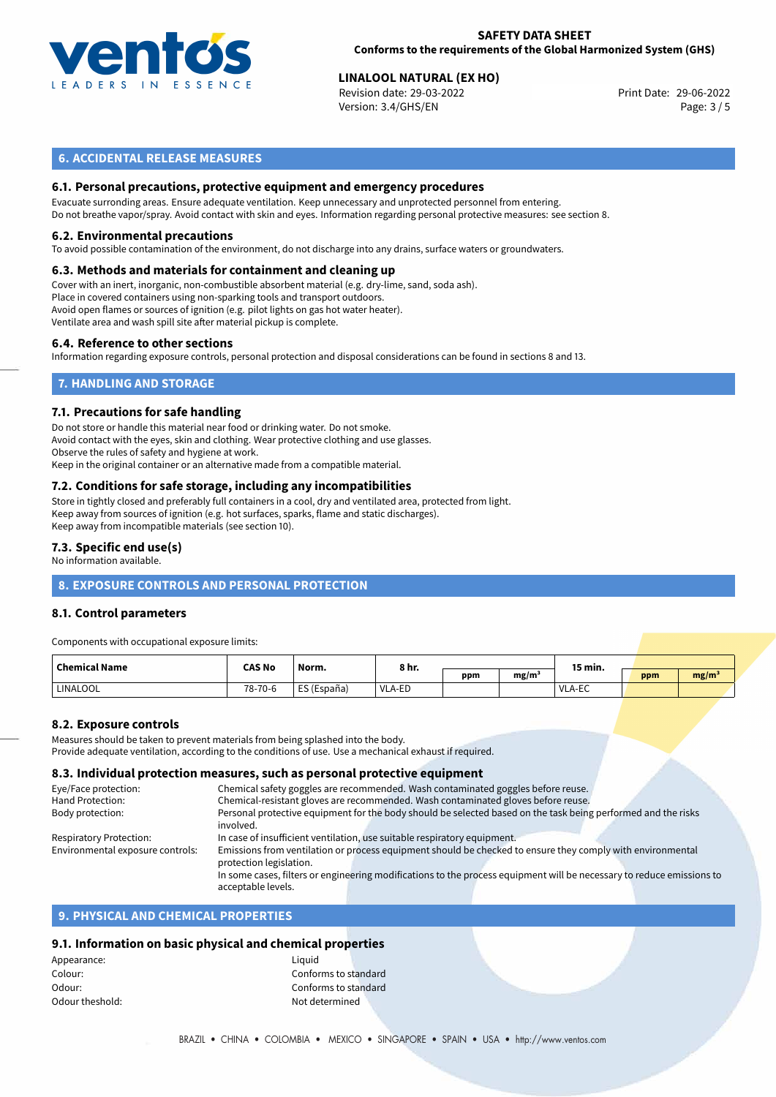

## **SAFETY DATA SHEET Conforms to the requirements of the Global Harmonized System (GHS)**

## **LINALOOL NATURAL (EX HO)**<br> **29-06-2022 Revision date: 29-03-2022 Linux Control 2008 Print Date: 29-06-2022**

Revision date: 29-03-2022 Version: 3.4/GHS/EN Page: 3 / 5

## **6. ACCIDENTAL RELEASE MEASURES**

## **6.1. Personal precautions, protective equipment and emergency procedures**

Evacuate surronding areas. Ensure adequate ventilation. Keep unnecessary and unprotected personnel from entering. Do not breathe vapor/spray. Avoid contact with skin and eyes. Information regarding personal protective measures: see section 8.

#### **6.2. Environmental precautions**

To avoid possible contamination of the environment, do not discharge into any drains, surface waters or groundwaters.

#### **6.3. Methods and materials for containment and cleaning up**

Cover with an inert, inorganic, non-combustible absorbent material (e.g. dry-lime, sand, soda ash). Place in covered containers using non-sparking tools and transport outdoors. Avoid open flames or sources of ignition (e.g. pilot lights on gas hot water heater). Ventilate area and wash spill site after material pickup is complete.

#### **6.4. Reference to other sections**

Information regarding exposure controls, personal protection and disposal considerations can be found in sections 8 and 13.

## **7. HANDLING AND STORAGE**

#### **7.1. Precautions for safe handling**

Do not store or handle this material near food or drinking water. Do not smoke. Avoid contact with the eyes, skin and clothing. Wear protective clothing and use glasses. Observe the rules of safety and hygiene at work. Keep in the original container or an alternative made from a compatible material.

## **7.2. Conditions for safe storage, including any incompatibilities**

Store in tightly closed and preferably full containers in a cool, dry and ventilated area, protected from light. Keep away from sources of ignition (e.g. hot surfaces, sparks, flame and static discharges). Keep away from incompatible materials (see section 10).

### **7.3. Specific end use(s)**

No information available.

## **8. EXPOSURE CONTROLS AND PERSONAL PROTECTION**

## **8.1. Control parameters**

Components with occupational exposure limits:

| <b>Chemical Name</b> | CAS No  | Norm.       | 8 hr.  |     |      | 15 min. |     |                   |  |
|----------------------|---------|-------------|--------|-----|------|---------|-----|-------------------|--|
|                      |         |             |        | ppm | mg/m |         | ppm | mg/m <sup>3</sup> |  |
| LINALOOL             | 78-70-6 | ES (España) | VLA-ED |     |      | VLA-EC  |     |                   |  |

## **8.2. Exposure controls**

Measures should be taken to prevent materials from being splashed into the body. Provide adequate ventilation, according to the conditions of use. Use a mechanical exhaust if required.

#### **8.3. Individual protection measures, such as personal protective equipment**

| Eye/Face protection:             | Chemical safety goggles are recommended. Wash contaminated goggles before reuse.                                      |  |  |  |  |  |
|----------------------------------|-----------------------------------------------------------------------------------------------------------------------|--|--|--|--|--|
| Hand Protection:                 | Chemical-resistant gloves are recommended. Wash contaminated gloves before reuse.                                     |  |  |  |  |  |
| Body protection:                 | Personal protective equipment for the body should be selected based on the task being performed and the risks         |  |  |  |  |  |
|                                  | involved.                                                                                                             |  |  |  |  |  |
| Respiratory Protection:          | In case of insufficient ventilation, use suitable respiratory equipment.                                              |  |  |  |  |  |
| Environmental exposure controls: | Emissions from ventilation or process equipment should be checked to ensure they comply with environmental            |  |  |  |  |  |
|                                  | protection legislation.                                                                                               |  |  |  |  |  |
|                                  | In some cases, filters or engineering modifications to the process equipment will be necessary to reduce emissions to |  |  |  |  |  |
|                                  | acceptable levels.                                                                                                    |  |  |  |  |  |
|                                  |                                                                                                                       |  |  |  |  |  |

## **9. PHYSICAL AND CHEMICAL PROPERTIES**

## **9.1. Information on basic physical and chemical properties**

Appearance: Liquid Odour theshold: and the shold of the shold of the shold of the shock of the shock of the shock of the shock of the shock of the shock of the shock of the shock of the shock of the shock of the shock of the shock of the sho

Colour: Conforms to standard Odour: Conforms to standard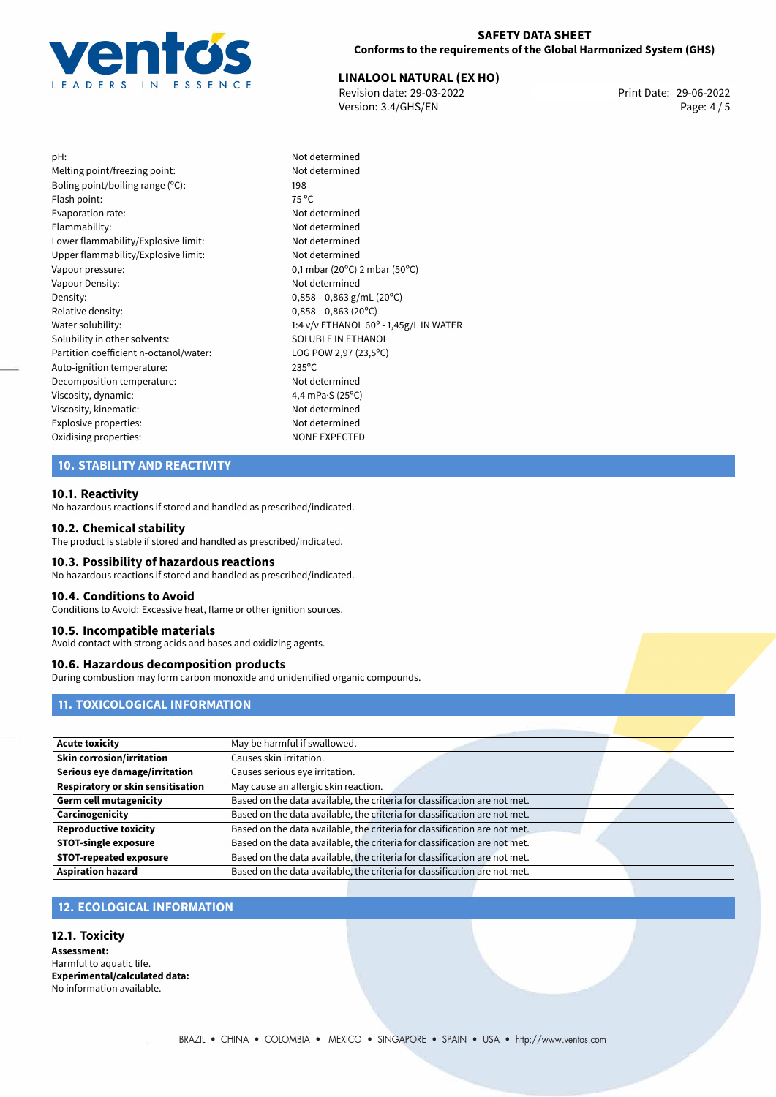

### **SAFETY DATA SHEET Conforms to the requirements of the Global Harmonized System (GHS)**

# **LINALOOL NATURAL (EX HO)**<br>29-06-2022 **Revision date: 29-03-2022 Revision date: 29-06-2022**

Revision date: 29-03-2022 Version: 3.4/GHS/EN Page: 4 / 5

pH: Not determined Melting point/freezing point: Not determined Boling point/boiling range (°C): 198 Flash point: 75 °C Evaporation rate: Not determined Flammability: The contract of the contract of the Not determined Lower flammability/Explosive limit: Not determined Upper flammability/Explosive limit: Not determined Vapour pressure: 0,1 mbar (20°C) 2 mbar (50°C) Vapour Density: Not determined Density: 0,858*−*0,863 g/mL (20°C)<br>Relative density: 0.858*−*0.863 (20°C) Relative density: 0,858−0,863 (20°C)<br>Water solubility: 0,858−0,863 (20°C) Solubility in other solvents: SOLUBLE IN ETHANOL Partition coefficient n-octanol/water: LOG POW 2,97 (23,5°C) Auto-ignition temperature: 235°C Decomposition temperature: Not determined Viscosity, dynamic:  $\begin{array}{ccc} 4,4 \text{ mPa-S (25°C)} \\ \text{Viscosity, kinematic:} \end{array}$ Viscosity, kinematic: Explosive properties: Not determined Oxidising properties: NONE EXPECTED

1:4 v/v ETHANOL 60° - 1,45g/L IN WATER

## **10. STABILITY AND REACTIVITY**

#### **10.1. Reactivity**

No hazardous reactions if stored and handled as prescribed/indicated.

#### **10.2. Chemical stability**

The product is stable if stored and handled as prescribed/indicated.

#### **10.3. Possibility of hazardous reactions**

No hazardous reactions if stored and handled as prescribed/indicated.

#### **10.4. Conditions to Avoid**

Conditions to Avoid: Excessive heat, flame or other ignition sources.

#### **10.5. Incompatible materials**

Avoid contact with strong acids and bases and oxidizing agents.

#### **10.6. Hazardous decomposition products**

During combustion may form carbon monoxide and unidentified organic compounds.

## **11. TOXICOLOGICAL INFORMATION**

| <b>Acute toxicity</b>             | May be harmful if swallowed.                                              |  |
|-----------------------------------|---------------------------------------------------------------------------|--|
| <b>Skin corrosion/irritation</b>  | Causes skin irritation.                                                   |  |
| Serious eye damage/irritation     | Causes serious eye irritation.                                            |  |
| Respiratory or skin sensitisation | May cause an allergic skin reaction.                                      |  |
| <b>Germ cell mutagenicity</b>     | Based on the data available, the criteria for classification are not met. |  |
| Carcinogenicity                   | Based on the data available, the criteria for classification are not met. |  |
| <b>Reproductive toxicity</b>      | Based on the data available, the criteria for classification are not met. |  |
| <b>STOT-single exposure</b>       | Based on the data available, the criteria for classification are not met. |  |
| <b>STOT-repeated exposure</b>     | Based on the data available, the criteria for classification are not met. |  |
| <b>Aspiration hazard</b>          | Based on the data available, the criteria for classification are not met. |  |

## **12. ECOLOGICAL INFORMATION**

**12.1. Toxicity Assessment:** Harmful to aquatic life. **Experimental/calculated data:** No information available.